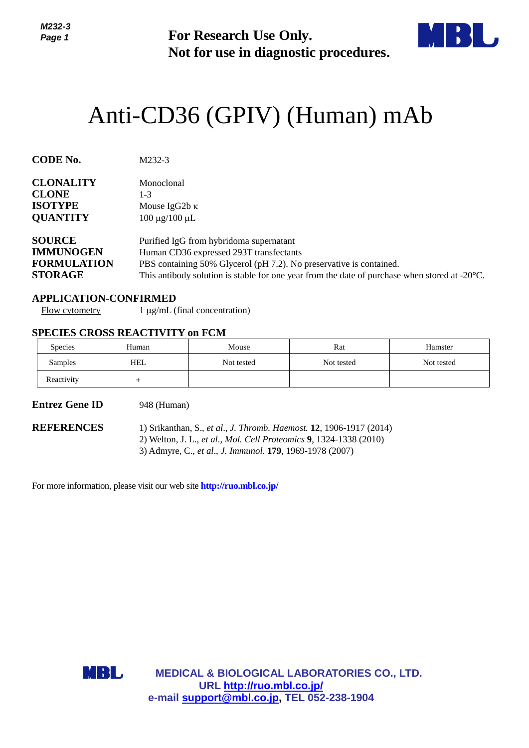

# Anti-CD36 (GPIV) (Human) mAb

| Page 1                                                                       |                                                                                                                                                                                                                                                                      | <b>For Research Use Only.</b><br>Not for use in diagnostic procedures. |                                                                                                                                           |            |  |
|------------------------------------------------------------------------------|----------------------------------------------------------------------------------------------------------------------------------------------------------------------------------------------------------------------------------------------------------------------|------------------------------------------------------------------------|-------------------------------------------------------------------------------------------------------------------------------------------|------------|--|
|                                                                              |                                                                                                                                                                                                                                                                      |                                                                        | Anti-CD36 (GPIV) (Human) mAb                                                                                                              |            |  |
| CODE No.                                                                     | M232-3                                                                                                                                                                                                                                                               |                                                                        |                                                                                                                                           |            |  |
| <b>CLONALITY</b><br><b>CLONE</b><br><b>ISOTYPE</b><br><b>QUANTITY</b>        | Monoclonal<br>$1 - 3$<br>Mouse IgG2b κ<br>$100 \mu g / 100 \mu L$                                                                                                                                                                                                    |                                                                        |                                                                                                                                           |            |  |
| <b>SOURCE</b><br><b>IMMUNOGEN</b><br><b>FORMULATION</b><br><b>STORAGE</b>    | Purified IgG from hybridoma supernatant<br>Human CD36 expressed 293T transfectants<br>PBS containing 50% Glycerol (pH 7.2). No preservative is contained.<br>This antibody solution is stable for one year from the date of purchase when stored at $-20^{\circ}$ C. |                                                                        |                                                                                                                                           |            |  |
| <b>APPLICATION-CONFIRMED</b><br><b>Flow cytometry</b>                        | $1 \mu g/mL$ (final concentration)                                                                                                                                                                                                                                   |                                                                        |                                                                                                                                           |            |  |
| <b>SPECIES CROSS REACTIVITY on FCM</b>                                       |                                                                                                                                                                                                                                                                      |                                                                        |                                                                                                                                           |            |  |
| Species                                                                      | Human                                                                                                                                                                                                                                                                | Mouse                                                                  | Rat                                                                                                                                       | Hamster    |  |
| Samples                                                                      | <b>HEL</b>                                                                                                                                                                                                                                                           | Not tested                                                             | Not tested                                                                                                                                | Not tested |  |
| Reactivity<br><b>Entrez Gene ID</b>                                          | $\! +$<br>948 (Human)                                                                                                                                                                                                                                                |                                                                        |                                                                                                                                           |            |  |
| <b>REFERENCES</b>                                                            |                                                                                                                                                                                                                                                                      | 3) Admyre, C., et al., J. Immunol. 179, 1969-1978 (2007)               | 1) Srikanthan, S., et al., J. Thromb. Haemost. 12, 1906-1917 (2014)<br>2) Welton, J. L., et al., Mol. Cell Proteomics 9, 1324-1338 (2010) |            |  |
| For more information, please visit our web site <b>http://ruo.mbl.co.jp/</b> |                                                                                                                                                                                                                                                                      |                                                                        |                                                                                                                                           |            |  |
|                                                                              |                                                                                                                                                                                                                                                                      |                                                                        |                                                                                                                                           |            |  |
|                                                                              |                                                                                                                                                                                                                                                                      |                                                                        |                                                                                                                                           |            |  |
|                                                                              |                                                                                                                                                                                                                                                                      |                                                                        |                                                                                                                                           |            |  |
| MBL                                                                          |                                                                                                                                                                                                                                                                      | URL http://ruo.mbl.co.jp/                                              | <b>MEDICAL &amp; BIOLOGICAL LABORATORIES CO., LTD.</b>                                                                                    |            |  |
|                                                                              |                                                                                                                                                                                                                                                                      | e-mail support@mbl.co.jp, TEL 052-238-1904                             |                                                                                                                                           |            |  |

#### **APPLICATION-CONFIRMED**

### **SPECIES CROSS REACTIVITY on FCM**

| <b>Species</b> | Human | Mouse      | Rat        | Hamster    |
|----------------|-------|------------|------------|------------|
| Samples        | HEL   | Not tested | Not tested | Not tested |
| Reactivity     |       |            |            |            |

#### **Entrez Gene ID** 948 (Human)

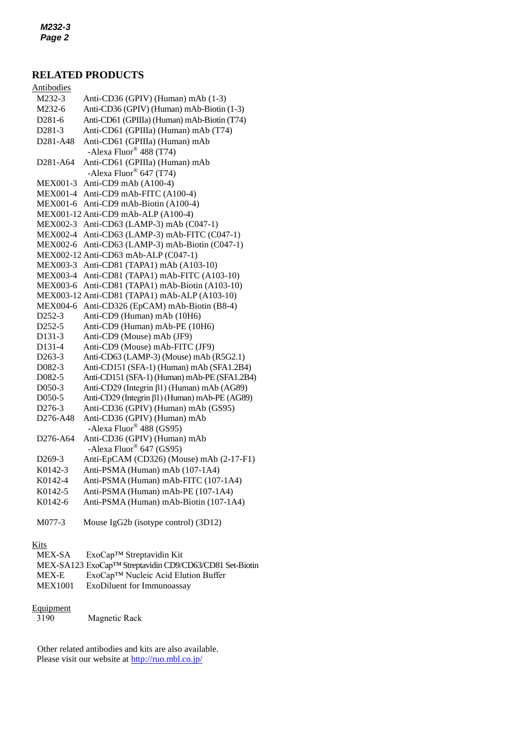# **RELATED PRODUCTS**

| Antibodies                        |                                                          |
|-----------------------------------|----------------------------------------------------------|
| M232-3                            | Anti-CD36 (GPIV) (Human) mAb (1-3)                       |
| M232-6                            | Anti-CD36 (GPIV) (Human) mAb-Biotin (1-3)                |
| D281-6                            | Anti-CD61 (GPIIIa) (Human) mAb-Biotin (T74)              |
| D281-3                            | Anti-CD61 (GPIIIa) (Human) mAb (T74)                     |
| D281-A48                          | Anti-CD61 (GPIIIa) (Human) mAb                           |
|                                   | -Alexa Fluor® 488 (T74)                                  |
| D <sub>281</sub> -A <sub>64</sub> | Anti-CD61 (GPIIIa) (Human) mAb                           |
|                                   | -Alexa Fluor® 647 (T74)                                  |
| <b>MEX001-3</b>                   | Anti-CD9 mAb (A100-4)                                    |
| <b>MEX001-4</b>                   | Anti-CD9 mAb-FITC (A100-4)                               |
| <b>MEX001-6</b>                   | Anti-CD9 mAb-Biotin (A100-4)                             |
|                                   | MEX001-12 Anti-CD9 mAb-ALP (A100-4)                      |
| MEX002-3                          | Anti-CD63 (LAMP-3) mAb (C047-1)                          |
| <b>MEX002-4</b>                   | Anti-CD63 (LAMP-3) mAb-FITC (C047-1)                     |
| MEX002-6                          | Anti-CD63 (LAMP-3) mAb-Biotin (C047-1)                   |
|                                   | MEX002-12 Anti-CD63 mAb-ALP (C047-1)                     |
| <b>MEX003-3</b>                   | Anti-CD81 (TAPA1) mAb (A103-10)                          |
| <b>MEX003-4</b>                   | Anti-CD81 (TAPA1) mAb-FITC (A103-10)                     |
| MEX003-6                          | Anti-CD81 (TAPA1) mAb-Biotin (A103-10)                   |
|                                   | MEX003-12 Anti-CD81 (TAPA1) mAb-ALP (A103-10)            |
| <b>MEX004-6</b>                   | Anti-CD326 (EpCAM) mAb-Biotin (B8-4)                     |
| D252-3                            | Anti-CD9 (Human) mAb (10H6)                              |
| D252-5                            | Anti-CD9 (Human) mAb-PE (10H6)                           |
| D131-3                            | Anti-CD9 (Mouse) mAb (JF9)                               |
| D131-4                            | Anti-CD9 (Mouse) mAb-FITC (JF9)                          |
| D263-3                            | Anti-CD63 (LAMP-3) (Mouse) mAb (R5G2.1)                  |
| D082-3                            | Anti-CD151 (SFA-1) (Human) mAb (SFA1.2B4)                |
| D082-5                            | Anti-CD151 (SFA-1) (Human) mAb-PE (SFA1.2B4)             |
| D050-3                            | Anti-CD29 (Integrin β1) (Human) mAb (AG89)               |
| D050-5                            | Anti-CD29 (Integrin β1) (Human) mAb-PE (AG89)            |
| D276-3                            | Anti-CD36 (GPIV) (Human) mAb (GS95)                      |
| D <sub>276</sub> -A <sub>48</sub> | Anti-CD36 (GPIV) (Human) mAb<br>-Alexa Fluor® 488 (GS95) |
| D <sub>276</sub> -A <sub>64</sub> | Anti-CD36 (GPIV) (Human) mAb                             |
|                                   | -Alexa Fluor® 647 (GS95)                                 |
| D <sub>269</sub> -3               | Anti-EpCAM (CD326) (Mouse) mAb (2-17-F1)                 |
| K0142-3                           | Anti-PSMA (Human) mAb (107-1A4)                          |
| K0142-4                           | Anti-PSMA (Human) mAb-FITC (107-1A4)                     |
| K0142-5                           | Anti-PSMA (Human) mAb-PE (107-1A4)                       |
| K0142-6                           | Anti-PSMA (Human) mAb-Biotin (107-1A4)                   |
|                                   |                                                          |

M077-3 Mouse IgG2b (isotype control) (3D12)

# **Kits**

| MEX-SA         | $ExoCap^{TM}$ Streptavidin Kit                                       |
|----------------|----------------------------------------------------------------------|
|                | MEX-SA123 ExoCap <sup>TM</sup> Streptavidin CD9/CD63/CD81 Set-Biotin |
| MEX-E          | ExoCap <sup>™</sup> Nucleic Acid Elution Buffer                      |
| <b>MEX1001</b> | ExoDiluent for Immunoassay                                           |

# $\frac{Equipment}{3190}$

Magnetic Rack

Other related antibodies and kits are also available. Please visit our website at<http://ruo.mbl.co.jp/>